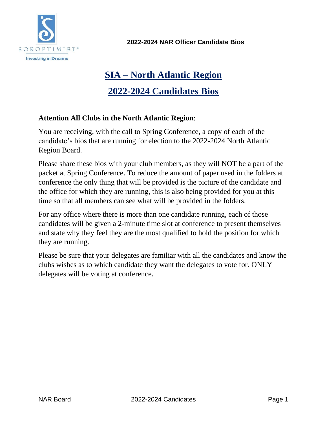

**2022-2024 NAR Officer Candidate Bios**

# **SIA – North Atlantic Region**

# **2022-2024 Candidates Bios**

### **Attention All Clubs in the North Atlantic Region**:

You are receiving, with the call to Spring Conference, a copy of each of the candidate's bios that are running for election to the 2022-2024 North Atlantic Region Board.

Please share these bios with your club members, as they will NOT be a part of the packet at Spring Conference. To reduce the amount of paper used in the folders at conference the only thing that will be provided is the picture of the candidate and the office for which they are running, this is also being provided for you at this time so that all members can see what will be provided in the folders.

For any office where there is more than one candidate running, each of those candidates will be given a 2-minute time slot at conference to present themselves and state why they feel they are the most qualified to hold the position for which they are running.

Please be sure that your delegates are familiar with all the candidates and know the clubs wishes as to which candidate they want the delegates to vote for. ONLY delegates will be voting at conference.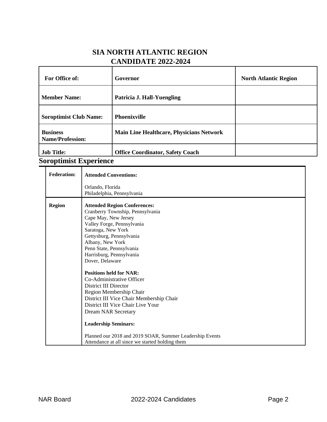### **SIA NORTH ATLANTIC REGION CANDIDATE 2022-2024**

| For Office of:                                   | Governor                                        | <b>North Atlantic Region</b> |
|--------------------------------------------------|-------------------------------------------------|------------------------------|
| <b>Member Name:</b>                              | Patricia J. Hall-Yuengling                      |                              |
| <b>Soroptimist Club Name:</b>                    | <b>Phoenixville</b>                             |                              |
| <b>Business</b><br><b>Name/Profession:</b>       | <b>Main Line Healthcare, Physicians Network</b> |                              |
| <b>Job Title:</b><br>$\sim$ $\sim$ $\sim$ $\sim$ | <b>Office Coordinator, Safety Coach</b>         |                              |

#### **Soroptimist Experience**

| <b>Federation:</b> | <b>Attended Conventions:</b>                                                                                                                                                                                                                                                                                                                                                                                                                                                                                                                                                                                                                                   |
|--------------------|----------------------------------------------------------------------------------------------------------------------------------------------------------------------------------------------------------------------------------------------------------------------------------------------------------------------------------------------------------------------------------------------------------------------------------------------------------------------------------------------------------------------------------------------------------------------------------------------------------------------------------------------------------------|
|                    | Orlando, Florida<br>Philadelphia, Pennsylvania                                                                                                                                                                                                                                                                                                                                                                                                                                                                                                                                                                                                                 |
| <b>Region</b>      | <b>Attended Region Conferences:</b><br>Cranberry Township, Pennsylvania<br>Cape May, New Jersey<br>Valley Forge, Pennsylvania<br>Saratoga, New York<br>Gettysburg, Pennsylvania<br>Albany, New York<br>Penn State, Pennsylvania<br>Harrisburg, Pennsylvania<br>Dover, Delaware<br><b>Positions held for NAR:</b><br>Co-Administrative Officer<br>District III Director<br>Region Membership Chair<br>District III Vice Chair Membership Chair<br>District III Vice Chair Live Your<br><b>Dream NAR Secretary</b><br><b>Leadership Seminars:</b><br>Planned our 2018 and 2019 SOAR, Summer Leadership Events<br>Attendance at all since we started holding them |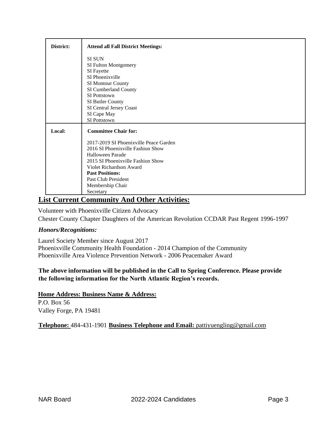| District: | <b>Attend all Fall District Meetings:</b> |
|-----------|-------------------------------------------|
|           | <b>SI SUN</b>                             |
|           | SI Fulton Montgomery                      |
|           | SI Fayette                                |
|           | SI Phoenixville                           |
|           | SI Montour County                         |
|           | SI Cumberland County                      |
|           | SI Pottstown                              |
|           | SI Butler County                          |
|           | SI Central Jersey Coast                   |
|           | SI Cape May                               |
|           | SI Pottstown                              |
| Local:    | <b>Committee Chair for:</b>               |
|           | 2017-2019 SI Phoenixville Peace Garden    |
|           | 2016 SI Phoenixville Fashion Show         |
|           | Halloween Parade                          |
|           | 2015 SI Phoenixville Fashion Show         |
|           | Violet Richardson Award                   |
|           | <b>Past Positions:</b>                    |
|           | Past Club President                       |
|           | Membership Chair                          |
|           | Secretary                                 |

### **List Current Community And Other Activities:**

Volunteer with Phoenixville Citizen Advocacy Chester County Chapter Daughters of the American Revolution CCDAR Past Regent 1996-1997

#### *Honors/Recognitions:*

Laurel Society Member since August 2017 Phoenixville Community Health Foundation - 2014 Champion of the Community Phoenixville Area Violence Prevention Network - 2006 Peacemaker Award

#### **The above information will be published in the Call to Spring Conference. Please provide the following information for the North Atlantic Region's records.**

**Home Address: Business Name & Address:** P.O. Box 56 Valley Forge, PA 19481

**Telephone:** 484-431-1901 **Business Telephone and Email:** [pattiyuengling@gmail.com](mailto:pattiyuengling@gmail.com)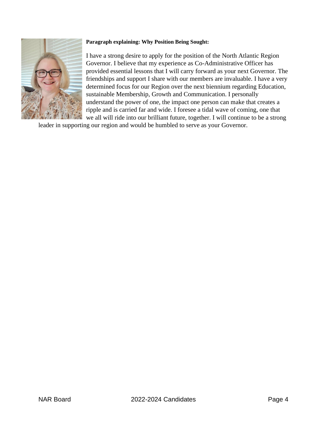

#### **Paragraph explaining: Why Position Being Sought:**

I have a strong desire to apply for the position of the North Atlantic Region Governor. I believe that my experience as Co-Administrative Officer has provided essential lessons that I will carry forward as your next Governor. The friendships and support I share with our members are invaluable. I have a very determined focus for our Region over the next biennium regarding Education, sustainable Membership, Growth and Communication. I personally understand the power of one, the impact one person can make that creates a ripple and is carried far and wide. I foresee a tidal wave of coming, one that we all will ride into our brilliant future, together. I will continue to be a strong

leader in supporting our region and would be humbled to serve as your Governor.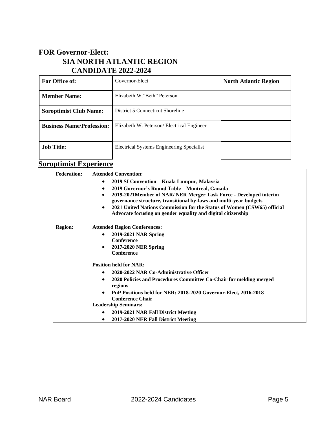### **FOR Governor-Elect: SIA NORTH ATLANTIC REGION CANDIDATE 2022-2024**

| For Office of:                   | Governor-Elect                            | <b>North Atlantic Region</b> |
|----------------------------------|-------------------------------------------|------------------------------|
| <b>Member Name:</b>              | Elizabeth W."Beth" Peterson               |                              |
| <b>Soroptimist Club Name:</b>    | District 5 Connecticut Shoreline          |                              |
| <b>Business Name/Profession:</b> | Elizabeth W. Peterson/Electrical Engineer |                              |
| <b>Job Title:</b>                | Electrical Systems Engineering Specialist |                              |

# **Soroptimist Experience**

| <b>Federation:</b> | <b>Attended Convention:</b>                                                                                                                          |
|--------------------|------------------------------------------------------------------------------------------------------------------------------------------------------|
|                    | 2019 SI Convention – Kuala Lumpur, Malaysia<br>٠                                                                                                     |
|                    | 2019 Governor's Round Table - Montreal, Canada<br>$\bullet$                                                                                          |
|                    | 2019-2021Member of NAR/ NER Merger Task Force - Developed interim<br>$\bullet$<br>governance structure, transitional by-laws and multi-year budgets  |
|                    | 2021 United Nations Commission for the Status of Women (CSW65) official<br>$\bullet$<br>Advocate focusing on gender equality and digital citizenship |
| <b>Region:</b>     | <b>Attended Region Conferences:</b>                                                                                                                  |
|                    | 2019-2021 NAR Spring<br>$\bullet$                                                                                                                    |
|                    | <b>Conference</b>                                                                                                                                    |
|                    | 2017-2020 NER Spring<br>$\bullet$                                                                                                                    |
|                    | Conference                                                                                                                                           |
|                    | <b>Position held for NAR:</b>                                                                                                                        |
|                    | 2020-2022 NAR Co-Administrative Officer<br>$\bullet$                                                                                                 |
|                    | 2020 Policies and Procedures Committee Co-Chair for melding merged<br>$\bullet$<br>regions                                                           |
|                    | PnP Positions held for NER: 2018-2020 Governor-Elect, 2016-2018<br>$\bullet$                                                                         |
|                    | <b>Conference Chair</b>                                                                                                                              |
|                    | <b>Leadership Seminars:</b>                                                                                                                          |
|                    | 2019-2021 NAR Fall District Meeting<br>$\bullet$                                                                                                     |
|                    | 2017-2020 NER Fall District Meeting<br>$\bullet$                                                                                                     |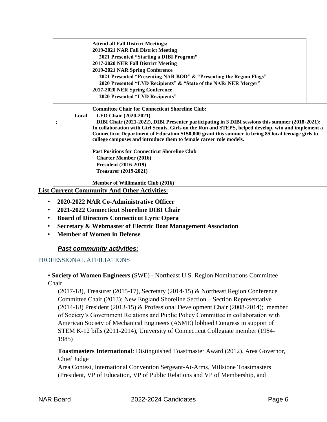|       | <b>Attend all Fall District Meetings:</b>                                                          |  |
|-------|----------------------------------------------------------------------------------------------------|--|
|       | 2019-2021 NAR Fall District Meeting                                                                |  |
|       | 2021 Presented "Starting a DIBI Program"                                                           |  |
|       | 2017-2020 NER Fall District Meeting                                                                |  |
|       | 2019-2021 NAR Spring Conference                                                                    |  |
|       | 2021 Presented "Presenting NAR BOD" & "Presenting the Region Flags"                                |  |
|       | 2020 Presented "LYD Recipients" & "State of the NAR/ NER Merger"                                   |  |
|       | 2017-2020 NER Spring Conference                                                                    |  |
|       | 2020 Presented "LYD Recipients"                                                                    |  |
|       | <b>Committee Chair for Connecticut Shoreline Club:</b>                                             |  |
| Local | LYD Chair (2020-2021)                                                                              |  |
|       | DIBI Chair (2021-2022), DIBI Presenter participating in 3 DIBI sessions this summer (2018-2021);   |  |
|       | In collaboration with Girl Scouts, Girls on the Run and STEPS, helped develop, win and implement a |  |
|       | Connecticut Department of Education \$150,000 grant this summer to bring 85 local teenage girls to |  |
|       | college campuses and introduce them to female career role models.                                  |  |
|       | <b>Past Positions for Connecticut Shoreline Club</b>                                               |  |
|       | <b>Charter Member (2016)</b>                                                                       |  |
|       | <b>President (2016-2019)</b>                                                                       |  |
|       | <b>Treasurer</b> (2019-2021)                                                                       |  |
|       |                                                                                                    |  |
|       | <b>Member of Willimantic Club (2016)</b>                                                           |  |

**List Current Community And Other Activities:**

- **2020-2022 NAR Co-Administrative Officer**
- **2021-2022 Connecticut Shoreline DIBI Chair**
- **Board of Directors Connecticut Lyric Opera**
- **Secretary & Webmaster of Electric Boat Management Association**
- **Member of Women in Defense**

### *Past community activities:*

#### PROFESSIONAL AFFILIATIONS

▪ **Society of Women Engineers** (SWE) - Northeast U.S. Region Nominations Committee Chair

(2017-18), Treasurer (2015-17), Secretary (2014-15) & Northeast Region Conference Committee Chair (2013); New England Shoreline Section – Section Representative (2014-18) President (2013-15) & Professional Development Chair (2008-2014); member of Society's Government Relations and Public Policy Committee in collaboration with American Society of Mechanical Engineers (ASME) lobbied Congress in support of STEM K-12 bills (2011-2014), University of Connecticut Collegiate member (1984- 1985)

**Toastmasters International**: Distinguished Toastmaster Award (2012), Area Governor, Chief Judge

Area Contest, International Convention Sergeant-At-Arms, Millstone Toastmasters (President, VP of Education, VP of Public Relations and VP of Membership, and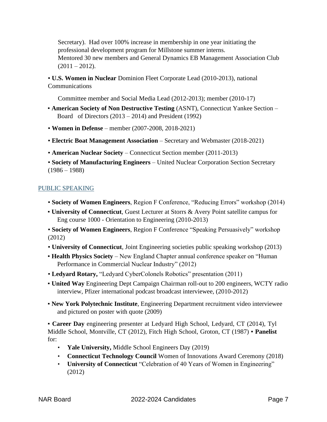Secretary). Had over 100% increase in membership in one year initiating the professional development program for Millstone summer interns. Mentored 30 new members and General Dynamics EB Management Association Club  $(2011 - 2012)$ .

▪ **U.S. Women in Nuclear** Dominion Fleet Corporate Lead (2010-2013), national Communications

Committee member and Social Media Lead (2012-2013); member (2010-17)

- **American Society of Non Destructive Testing** (ASNT), Connecticut Yankee Section Board of Directors (2013 – 2014) and President (1992)
- **Women in Defense** member (2007-2008, 2018-2021)
- **Electric Boat Management Association** Secretary and Webmaster (2018-2021)
- **American Nuclear Society**  Connecticut Section member (2011-2013)
- **Society of Manufacturing Engineers** United Nuclear Corporation Section Secretary  $(1986 - 1988)$

#### PUBLIC SPEAKING

- **Society of Women Engineers**, Region F Conference, "Reducing Errors" workshop (2014)
- **University of Connecticut**, Guest Lecturer at Storrs & Avery Point satellite campus for Eng course 1000 - Orientation to Engineering (2010-2013)
- **Society of Women Engineers**, Region F Conference "Speaking Persuasively" workshop (2012)
- **University of Connecticut**, Joint Engineering societies public speaking workshop (2013)
- **Health Physics Society**  New England Chapter annual conference speaker on "Human Performance in Commercial Nuclear Industry" (2012)
- **Ledyard Rotary,** "Ledyard CyberColonels Robotics" presentation (2011)
- **United Way** Engineering Dept Campaign Chairman roll-out to 200 engineers, WCTY radio interview, Pfizer international podcast broadcast interviewee, (2010-2012)
- **New York Polytechnic Institute**, Engineering Department recruitment video interviewee and pictured on poster with quote (2009)

▪ **Career Day** engineering presenter at Ledyard High School, Ledyard, CT (2014), Tyl Middle School, Montville, CT (2012), Fitch High School, Groton, CT (1987) ▪ **Panelist**  for:

- **Yale University,** Middle School Engineers Day (2019)
- **Connecticut Technology Council** Women of Innovations Award Ceremony (2018)
- **University of Connecticut** "Celebration of 40 Years of Women in Engineering" (2012)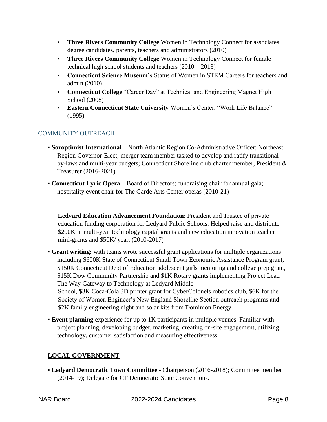- **Three Rivers Community College** Women in Technology Connect for associates degree candidates, parents, teachers and administrators (2010)
- **Three Rivers Community College** Women in Technology Connect for female technical high school students and teachers (2010 – 2013)
- **Connecticut Science Museum's** Status of Women in STEM Careers for teachers and admin (2010)
- **Connecticut College** "Career Day" at Technical and Engineering Magnet High School (2008)
- **Eastern Connecticut State University** Women's Center, "Work Life Balance" (1995)

### COMMUNITY OUTREACH

- **Soroptimist International**  North Atlantic Region Co-Administrative Officer; Northeast Region Governor-Elect; merger team member tasked to develop and ratify transitional by-laws and multi-year budgets; Connecticut Shoreline club charter member, President & Treasurer (2016-2021)
- **Connecticut Lyric Opera**  Board of Directors; fundraising chair for annual gala; hospitality event chair for The Garde Arts Center operas (2010-21)

**Ledyard Education Advancement Foundation**: President and Trustee of private education funding corporation for Ledyard Public Schools. Helped raise and distribute \$200K in multi-year technology capital grants and new education innovation teacher mini-grants and \$50K/ year. (2010-2017)

- **Grant writing:** with teams wrote successful grant applications for multiple organizations including \$600K State of Connecticut Small Town Economic Assistance Program grant, \$150K Connecticut Dept of Education adolescent girls mentoring and college prep grant, \$15K Dow Community Partnership and \$1K Rotary grants implementing Project Lead The Way Gateway to Technology at Ledyard Middle School, \$3K Coca-Cola 3D printer grant for CyberColonels robotics club, \$6K for the Society of Women Engineer's New England Shoreline Section outreach programs and \$2K family engineering night and solar kits from Dominion Energy.
- **Event planning** experience for up to 1K participants in multiple venues. Familiar with project planning, developing budget, marketing, creating on-site engagement, utilizing technology, customer satisfaction and measuring effectiveness.

### **LOCAL GOVERNMENT**

▪ **Ledyard Democratic Town Committee** - Chairperson (2016-2018); Committee member (2014-19); Delegate for CT Democratic State Conventions.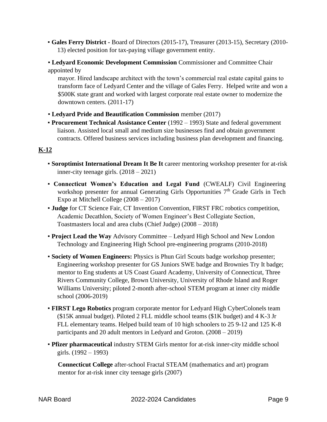- **Gales Ferry District -** Board of Directors (2015-17), Treasurer (2013-15), Secretary (2010- 13) elected position for tax-paying village government entity.
- **Ledyard Economic Development Commission Commissioner and Committee Chair** appointed by

mayor. Hired landscape architect with the town's commercial real estate capital gains to transform face of Ledyard Center and the village of Gales Ferry. Helped write and won a \$500K state grant and worked with largest corporate real estate owner to modernize the downtown centers. (2011-17)

- **Ledyard Pride and Beautification Commission** member (2017)
- **Procurement Technical Assistance Center** (1992 1993) State and federal government liaison. Assisted local small and medium size businesses find and obtain government contracts. Offered business services including business plan development and financing.

### **K-12**

- **Soroptimist International Dream It Be It** career mentoring workshop presenter for at-risk inner-city teenage girls. (2018 – 2021)
- **Connecticut Women's Education and Legal Fund** (CWEALF) Civil Engineering workshop presenter for annual Generating Girls Opportunities 7<sup>th</sup> Grade Girls in Tech Expo at Mitchell College (2008 – 2017)
- **Judge** for CT Science Fair, CT Invention Convention, FIRST FRC robotics competition, Academic Decathlon, Society of Women Engineer's Best Collegiate Section, Toastmasters local and area clubs (Chief Judge) (2008 – 2018)
- **Project Lead the Way** Advisory Committee Ledyard High School and New London Technology and Engineering High School pre-engineering programs (2010-2018)
- **Society of Women Engineers:** Physics is Phun Girl Scouts badge workshop presenter; Engineering workshop presenter for GS Juniors SWE badge and Brownies Try It badge; mentor to Eng students at US Coast Guard Academy, University of Connecticut, Three Rivers Community College, Brown University, University of Rhode Island and Roger Williams University; piloted 2-month after-school STEM program at inner city middle school (2006-2019)
- **FIRST Lego Robotics** program corporate mentor for Ledyard High CyberColonels team (\$15K annual budget). Piloted 2 FLL middle school teams (\$1K budget) and 4 K-3 Jr FLL elementary teams. Helped build team of 10 high schoolers to 25 9-12 and 125 K-8 participants and 20 adult mentors in Ledyard and Groton. (2008 – 2019)
- **Pfizer pharmaceutical** industry STEM Girls mentor for at-risk inner-city middle school girls. (1992 – 1993)

**Connecticut College** after-school Fractal STEAM (mathematics and art) program mentor for at-risk inner city teenage girls (2007)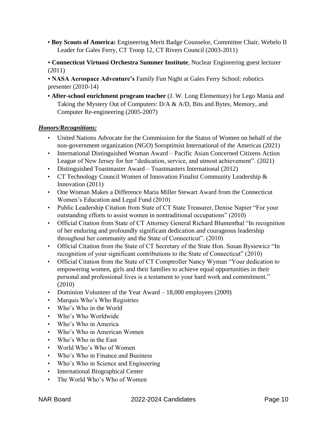- **Boy Scouts of America:** Engineering Merit Badge Counselor, Committee Chair, Webelo II Leader for Gales Ferry, CT Troop 12, CT Rivers Council (2003-2011)
- **Connecticut Virtuosi Orchestra Summer Institute**, Nuclear Engineering guest lecturer (2011)
- **NASA Aerospace Adventure's** Family Fun Night at Gales Ferry School: robotics presenter (2010-14)
- **After-school enrichment program teacher** (J. W. Long Elementary) for Lego Mania and Taking the Mystery Out of Computers: D/A & A/D, Bits and Bytes, Memory, and Computer Re-engineering (2005-2007)

#### *Honors/Recognitions:*

- United Nations Advocate for the Commission for the Status of Women on behalf of the non-government organization (NGO) Soroptimist International of the Americas (2021)
- International Distinguished Woman Award Pacific Asian Concerned Citizens Action League of New Jersey for her "dedication, service, and utmost achievement". (2021)
- Distinguished Toastmaster Award Toastmasters International (2012)
- CT Technology Council Women of Innovation Finalist Community Leadership & Innovation (2011)
- One Woman Makes a Difference Maria Miller Stewart Award from the Connecticut Women's Education and Legal Fund (2010)
- Public Leadership Citation from State of CT State Treasurer, Denise Napier "For your outstanding efforts to assist women in nontraditional occupations" (2010)
- Official Citation from State of CT Attorney General Richard Blumenthal "In recognition of her enduring and profoundly significant dedication and courageous leadership throughout her community and the State of Connecticut". (2010)
- Official Citation from the State of CT Secretary of the State Hon. Susan Bysiewicz "In recognition of your significant contributions to the State of Connecticut" (2010)
- Official Citation from the State of CT Comptroller Nancy Wyman "Your dedication to empowering women, girls and their families to achieve equal opportunities in their personal and professional lives is a testament to your hard work and commitment." (2010)
- Dominion Volunteer of the Year Award 18,000 employees (2009)
- Marquis Who's Who Registries
- Who's Who in the World
- Who's Who Worldwide
- Who's Who in America
- Who's Who in American Women
- Who's Who in the East
- World Who's Who of Women
- Who's Who in Finance and Business
- Who's Who in Science and Engineering
- International Biographical Center
- The World Who's Who of Women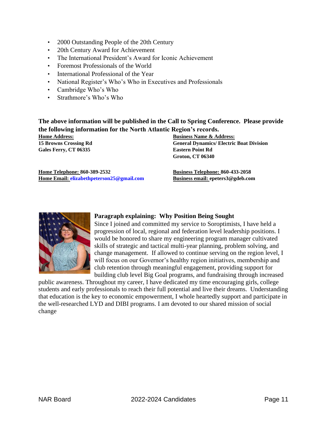- 2000 Outstanding People of the 20th Century
- 20th Century Award for Achievement
- The International President's Award for Iconic Achievement
- Foremost Professionals of the World
- International Professional of the Year
- National Register's Who's Who in Executives and Professionals
- Cambridge Who's Who
- Strathmore's Who's Who

**The above information will be published in the Call to Spring Conference. Please provide the following information for the North Atlantic Region's records.** 

**Gales Ferry, CT 06335 Eastern Point Rd** 

**Home Address: Business Name & Address: 15 Browns Crossing Rd General Dynamics/ Electric Boat Division Groton, CT 06340** 

**Home Telephone: 860-389-2532 Business Telephone: 860-433-2058 Home Email: elizabethpeterson25@gmail.com** 

**Business email: epeters3@gdeb.com** 



#### **Paragraph explaining: Why Position Being Sought**

Since I joined and committed my service to Soroptimists, I have held a progression of local, regional and federation level leadership positions. I would be honored to share my engineering program manager cultivated skills of strategic and tactical multi-year planning, problem solving, and change management. If allowed to continue serving on the region level, I will focus on our Governor's healthy region initiatives, membership and club retention through meaningful engagement, providing support for building club level Big Goal programs, and fundraising through increased

public awareness. Throughout my career, I have dedicated my time encouraging girls, college students and early professionals to reach their full potential and live their dreams. Understanding that education is the key to economic empowerment, I whole heartedly support and participate in the well-researched LYD and DIBI programs. I am devoted to our shared mission of social change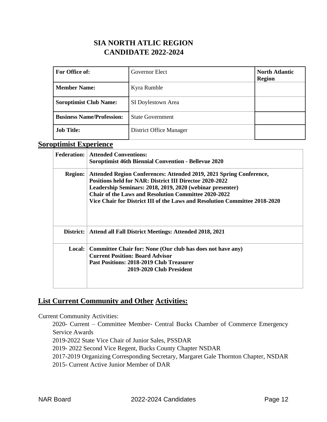### **SIA NORTH ATLIC REGION CANDIDATE 2022-2024**

| For Office of:                   | Governor Elect                 | <b>North Atlantic</b><br><b>Region</b> |
|----------------------------------|--------------------------------|----------------------------------------|
| <b>Member Name:</b>              | Kyra Rumble                    |                                        |
| <b>Soroptimist Club Name:</b>    | SI Doylestown Area             |                                        |
| <b>Business Name/Profession:</b> | <b>State Government</b>        |                                        |
| <b>Job Title:</b>                | <b>District Office Manager</b> |                                        |

## **Soroptimist Experience**

| <b>Federation:</b> | <b>Attended Conventions:</b><br><b>Soroptimist 46th Biennial Convention - Bellevue 2020</b>                                                                                                                                                                                                                                                     |
|--------------------|-------------------------------------------------------------------------------------------------------------------------------------------------------------------------------------------------------------------------------------------------------------------------------------------------------------------------------------------------|
| <b>Region:</b>     | Attended Region Conferences: Attended 2019, 2021 Spring Conference,<br><b>Positions held for NAR: District III Director 2020-2022</b><br>Leadership Seminars: 2018, 2019, 2020 (webinar presenter)<br><b>Chair of the Laws and Resolution Committee 2020-2022</b><br>Vice Chair for District III of the Laws and Resolution Committee 2018-2020 |
| District:          | Attend all Fall District Meetings: Attended 2018, 2021                                                                                                                                                                                                                                                                                          |
| <b>Local:</b>      | Committee Chair for: None (Our club has does not have any)<br><b>Current Position: Board Advisor</b><br>Past Positions: 2018-2019 Club Treasurer<br>2019-2020 Club President                                                                                                                                                                    |

### **List Current Community and Other Activities:**

Current Community Activities:

2020- Current – Committee Member- Central Bucks Chamber of Commerce Emergency Service Awards

2019-2022 State Vice Chair of Junior Sales, PSSDAR

2019- 2022 Second Vice Regent, Bucks County Chapter NSDAR

2017-2019 Organizing Corresponding Secretary, Margaret Gale Thornton Chapter, NSDAR

2015- Current Active Junior Member of DAR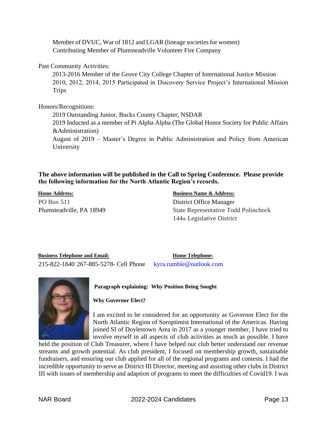Member of DVUC, War of 1812 and LGAR (lineage societies for women) Contributing Member of Plumsteadville Volunteer Fire Company

#### Past Community Activities:

2013-2016 Member of the Grove City College Chapter of International Justice Mission 2010, 2012, 2014, 2015 Participated in Discovery Service Project's International Mission Trips

Honors/Recognitions:

2019 Outstanding Junior, Bucks County Chapter, NSDAR

2019 Inducted as a member of Pi Alpha Alpha (The Global Honor Society for Public Affairs &Administration)

August of 2019 – Master's Degree in Public Administration and Policy from American University

#### **The above information will be published in the Call to Spring Conference. Please provide the following information for the North Atlantic Region's records.**

PO Box 511 District Office Manager

#### **Home Address: Business Name & Address:**

Plumsteadville, PA 18949 State Representative Todd Polinchock 144th Legislative District

**Business Telephone and Email: Home Telephone:** 215-822-1840 267-885-5278- Cell Phone kyra.rumble@outlook.com



**Paragraph explaining: Why Position Being Sought** 

#### **Why Governor Elect?**

I am excited to be considered for an opportunity as Governor Elect for the North Atlantic Region of Soroptimist International of the Americas. Having joined SI of Doylestown Area in 2017 as a younger member, I have tried to involve myself in all aspects of club activities as much as possible. I have

held the position of Club Treasurer, where I have helped our club better understand our revenue streams and growth potential. As club president, I focused on membership growth, sustainable fundraisers, and ensuring our club applied for all of the regional programs and contests. I had the incredible opportunity to serve as District III Director, meeting and assisting other clubs in District III with issues of membership and adaption of programs to meet the difficulties of Covid19. I was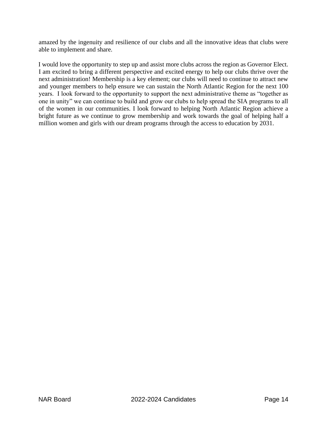amazed by the ingenuity and resilience of our clubs and all the innovative ideas that clubs were able to implement and share.

I would love the opportunity to step up and assist more clubs across the region as Governor Elect. I am excited to bring a different perspective and excited energy to help our clubs thrive over the next administration! Membership is a key element; our clubs will need to continue to attract new and younger members to help ensure we can sustain the North Atlantic Region for the next 100 years. I look forward to the opportunity to support the next administrative theme as "together as one in unity" we can continue to build and grow our clubs to help spread the SIA programs to all of the women in our communities. I look forward to helping North Atlantic Region achieve a bright future as we continue to grow membership and work towards the goal of helping half a million women and girls with our dream programs through the access to education by 2031.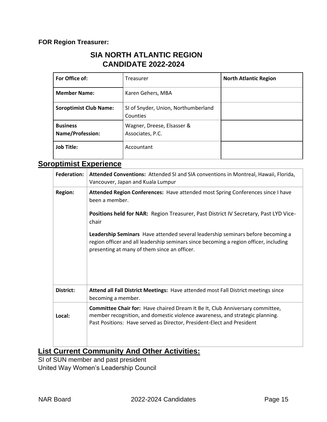### **FOR Region Treasurer:**

### **SIA NORTH ATLANTIC REGION CANDIDATE 2022-2024**

| For Office of:                             | Treasurer                                       | <b>North Atlantic Region</b> |
|--------------------------------------------|-------------------------------------------------|------------------------------|
| <b>Member Name:</b>                        | Karen Gehers, MBA                               |                              |
| <b>Soroptimist Club Name:</b>              | SI of Snyder, Union, Northumberland<br>Counties |                              |
| <b>Business</b><br><b>Name/Profession:</b> | Wagner, Dreese, Elsasser &<br>Associates, P.C.  |                              |
| <b>Job Title:</b>                          | Accountant                                      |                              |

### **Soroptimist Experience**

| Federation:    | Attended Conventions: Attended SI and SIA conventions in Montreal, Hawaii, Florida,<br>Vancouver, Japan and Kuala Lumpur                                                                                                                |
|----------------|-----------------------------------------------------------------------------------------------------------------------------------------------------------------------------------------------------------------------------------------|
| <b>Region:</b> | Attended Region Conferences: Have attended most Spring Conferences since I have<br>been a member.                                                                                                                                       |
|                | Positions held for NAR: Region Treasurer, Past District IV Secretary, Past LYD Vice-<br>chair                                                                                                                                           |
|                | Leadership Seminars Have attended several leadership seminars before becoming a<br>region officer and all leadership seminars since becoming a region officer, including<br>presenting at many of them since an officer.                |
| District:      | Attend all Fall District Meetings: Have attended most Fall District meetings since<br>becoming a member.                                                                                                                                |
| Local:         | Committee Chair for: Have chaired Dream It Be It, Club Anniversary committee,<br>member recognition, and domestic violence awareness, and strategic planning.<br>Past Positions: Have served as Director, President-Elect and President |

### **List Current Community And Other Activities:**

SI of SUN member and past president United Way Women's Leadership Council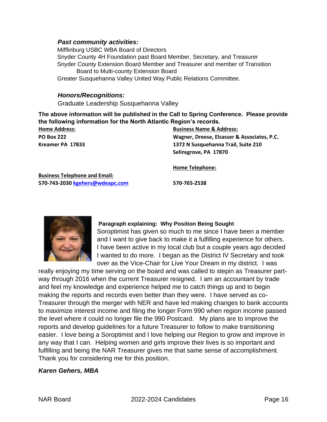#### *Past community activities:*

Mifflinburg USBC WBA Board of Directors Snyder County 4H Foundation past Board Member, Secretary, and Treasurer Snyder County Extension Board Member and Treasurer and member of Transition Board to Multi-county Extension Board Greater Susquehanna Valley United Way Public Relations Committee.

#### *Honors/Recognitions:*

Graduate Leadership Susquehanna Valley

**The above information will be published in the Call to Spring Conference. Please provide the following information for the North Atlantic Region's records.** 

| <b>Home Address:</b> | <b>Business Name &amp; Address:</b>         |  |
|----------------------|---------------------------------------------|--|
| <b>PO Box 222</b>    | Wagner, Dreese, Elsasser & Associates, P.C. |  |
| Kreamer PA 17833     | 1372 N Susquehanna Trail, Suite 210         |  |
|                      | Selinsgrove, PA 17870                       |  |
|                      |                                             |  |

**Home Telephone:**

**Business Telephone and Email: 570-743-2030 kgehers@wdeapc.com 570-765-2538** 



#### **Paragraph explaining: Why Position Being Sought**

Soroptimist has given so much to me since I have been a member and I want to give back to make it a fulfilling experience for others. I have been active in my local club but a couple years ago decided I wanted to do more. I began as the District IV Secretary and took over as the Vice-Chair for Live Your Dream in my district. I was

really enjoying my time serving on the board and was called to stepin as Treasurer partway through 2016 when the current Treasurer resigned. I am an accountant by trade and feel my knowledge and experience helped me to catch things up and to begin making the reports and records even better than they were. I have served as co-Treasurer through the merger with NER and have led making changes to bank accounts to maximize interest income and filing the longer Form 990 when region income passed the level where it could no longer file the 990 Postcard. My plans are to improve the reports and develop guidelines for a future Treasurer to follow to make transitioning easier. I love being a Soroptimist and I love helping our Region to grow and improve in any way that I can. Helping women and girls improve their lives is so important and fulfilling and being the NAR Treasurer gives me that same sense of accomplishment. Thank you for considering me for this position.

#### *Karen Gehers, MBA*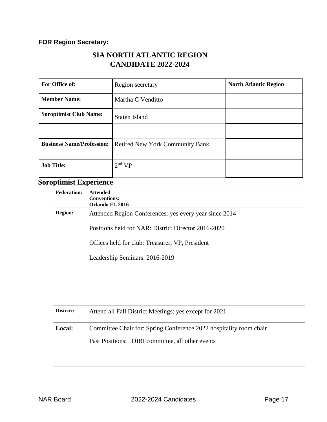### **FOR Region Secretary:**

### **SIA NORTH ATLANTIC REGION CANDIDATE 2022-2024**

| For Office of:                   | Region secretary                       | <b>North Atlantic Region</b> |
|----------------------------------|----------------------------------------|------------------------------|
| <b>Member Name:</b>              | Martha C Venditto                      |                              |
| <b>Soroptimist Club Name:</b>    | <b>Staten Island</b>                   |                              |
|                                  |                                        |                              |
| <b>Business Name/Profession:</b> | <b>Retired New York Community Bank</b> |                              |
| <b>Job Title:</b>                | 2 <sup>nd</sup> VP                     |                              |

# **Soroptimist Experience**

| <b>Federation:</b> | <b>Attended</b><br><b>Conventions:</b><br>Orlando FL 2016          |  |  |
|--------------------|--------------------------------------------------------------------|--|--|
| <b>Region:</b>     | Attended Region Conferences: yes every year since 2014             |  |  |
|                    | Positions held for NAR: District Director 2016-2020                |  |  |
|                    | Offices held for club: Treasurer, VP, President                    |  |  |
|                    | Leadership Seminars: 2016-2019                                     |  |  |
|                    |                                                                    |  |  |
|                    |                                                                    |  |  |
|                    |                                                                    |  |  |
| District:          | Attend all Fall District Meetings: yes except for 2021             |  |  |
| Local:             | Committee Chair for: Spring Conference 2022 hospitality room chair |  |  |
|                    | Past Positions: DIBI committee, all other events                   |  |  |
|                    |                                                                    |  |  |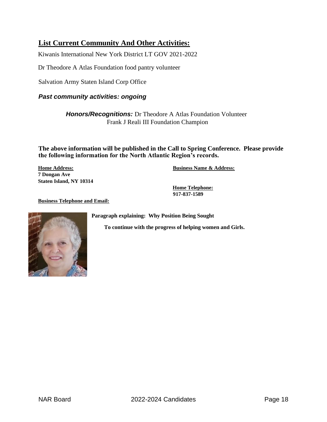### **List Current Community And Other Activities:**

Kiwanis International New York District LT GOV 2021-2022

Dr Theodore A Atlas Foundation food pantry volunteer

Salvation Army Staten Island Corp Office

#### *Past community activities: ongoing*

*Honors/Recognitions:* Dr Theodore A Atlas Foundation Volunteer Frank J Reali III Foundation Champion

**The above information will be published in the Call to Spring Conference. Please provide the following information for the North Atlantic Region's records.** 

**7 Dongan Ave Staten Island, NY 10314** 

**Home Address: Business Name & Address:**

**Home Telephone: 917-837-1589** 

**Business Telephone and Email:**

**Paragraph explaining: Why Position Being Sought** 



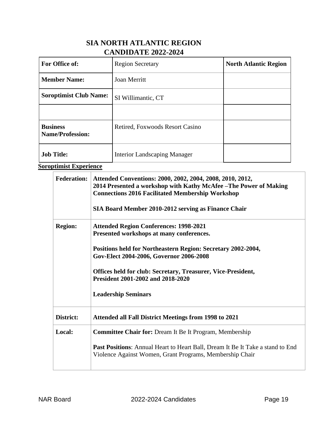### **SIA NORTH ATLANTIC REGION CANDIDATE 2022-2024**

| <b>For Office of:</b>                      | <b>Region Secretary</b>             | <b>North Atlantic Region</b> |
|--------------------------------------------|-------------------------------------|------------------------------|
| <b>Member Name:</b>                        | <b>Joan Merritt</b>                 |                              |
| <b>Soroptimist Club Name:</b>              | SI Willimantic, CT                  |                              |
|                                            |                                     |                              |
| <b>Business</b><br><b>Name/Profession:</b> | Retired, Foxwoods Resort Casino     |                              |
| <b>Job Title:</b>                          | <b>Interior Landscaping Manager</b> |                              |

**Soroptimist Experience**

| <b>Federation:</b> | Attended Conventions: 2000, 2002, 2004, 2008, 2010, 2012,<br>2014 Presented a workshop with Kathy McAfee - The Power of Making<br><b>Connections 2016 Facilitated Membership Workshop</b><br>SIA Board Member 2010-2012 serving as Finance Chair |  |
|--------------------|--------------------------------------------------------------------------------------------------------------------------------------------------------------------------------------------------------------------------------------------------|--|
| <b>Region:</b>     | <b>Attended Region Conferences: 1998-2021</b><br>Presented workshops at many conferences.                                                                                                                                                        |  |
|                    | Positions held for Northeastern Region: Secretary 2002-2004,<br>Gov-Elect 2004-2006, Governor 2006-2008                                                                                                                                          |  |
|                    | <b>Offices held for club: Secretary, Treasurer, Vice-President,</b><br>President 2001-2002 and 2018-2020                                                                                                                                         |  |
|                    | <b>Leadership Seminars</b>                                                                                                                                                                                                                       |  |
| District:          | <b>Attended all Fall District Meetings from 1998 to 2021</b>                                                                                                                                                                                     |  |
| Local:             | <b>Committee Chair for: Dream It Be It Program, Membership</b>                                                                                                                                                                                   |  |
|                    | <b>Past Positions:</b> Annual Heart to Heart Ball, Dream It Be It Take a stand to End<br>Violence Against Women, Grant Programs, Membership Chair                                                                                                |  |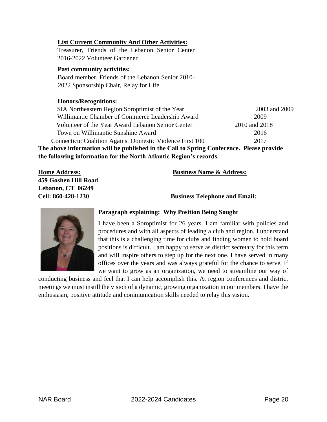#### **List Current Community And Other Activities:**

Treasurer, Friends of the Lebanon Senior Center 2016-2022 Volunteer Gardener

#### **Past community activities:**

Board member, Friends of the Lebanon Senior 2010- 2022 Sponsorship Chair, Relay for Life

#### **Honors/Recognitions:**

SIA Northeastern Region Soroptimist of the Year 2003 and 2009 Willimantic Chamber of Commerce Leadership Award 2009 Volunteer of the Year Award Lebanon Senior Center 2010 and 2018 Town on Willimantic Sunshine Award 2016 Connecticut Coalition Against Domestic Violence First 100 2017 **The above information will be published in the Call to Spring Conference. Please provide the following information for the North Atlantic Region's records.** 

**459 Goshen Hill Road Lebanon, CT 06249** 

#### **Home Address: Business Name & Address:**

**Cell: 860-428-1230 Business Telephone and Email:** 



#### **Paragraph explaining: Why Position Being Sought**

I have been a Soroptimist for 26 years. I am familiar with policies and procedures and with all aspects of leading a club and region. I understand that this is a challenging time for clubs and finding women to hold board positions is difficult. I am happy to serve as district secretary for this term and will inspire others to step up for the next one. I have served in many offices over the years and was always grateful for the chance to serve. If we want to grow as an organization, we need to streamline our way of

conducting business and feel that I can help accomplish this. At region conferences and district meetings we must instill the vision of a dynamic, growing organization in our members. I have the enthusiasm, positive attitude and communication skills needed to relay this vision.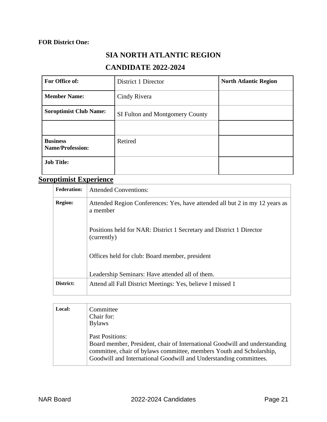### **FOR District One:**

# **SIA NORTH ATLANTIC REGION**

### **CANDIDATE 2022-2024**

| For Office of:                             | District 1 Director             | <b>North Atlantic Region</b> |
|--------------------------------------------|---------------------------------|------------------------------|
| <b>Member Name:</b>                        | Cindy Rivera                    |                              |
| <b>Soroptimist Club Name:</b>              | SI Fulton and Montgomery County |                              |
|                                            |                                 |                              |
| <b>Business</b><br><b>Name/Profession:</b> | Retired                         |                              |
| <b>Job Title:</b>                          |                                 |                              |

# **Soroptimist Experience**

| <b>Federation:</b> | <b>Attended Conventions:</b>                                                            |  |
|--------------------|-----------------------------------------------------------------------------------------|--|
| <b>Region:</b>     | Attended Region Conferences: Yes, have attended all but 2 in my 12 years as<br>a member |  |
|                    | Positions held for NAR: District 1 Secretary and District 1 Director<br>(currently)     |  |
|                    | Offices held for club: Board member, president                                          |  |
|                    | Leadership Seminars: Have attended all of them.                                         |  |
| District:          | Attend all Fall District Meetings: Yes, believe I missed 1                              |  |

| Local: | Committee<br>Chair for:<br><b>Bylaws</b>                                                                                                                                                                                                          |
|--------|---------------------------------------------------------------------------------------------------------------------------------------------------------------------------------------------------------------------------------------------------|
|        | <b>Past Positions:</b><br>Board member, President, chair of International Goodwill and understanding<br>committee, chair of bylaws committee, members Youth and Scholarship,<br>Goodwill and International Goodwill and Understanding committees. |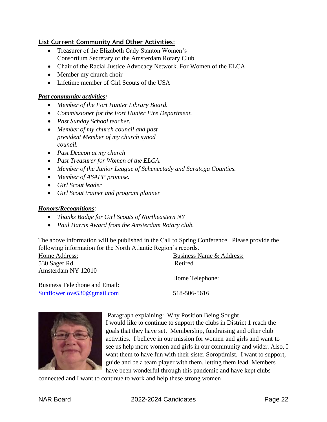### **List Current Community And Other Activities**:

- Treasurer of the Elizabeth Cady Stanton Women's Consortium Secretary of the Amsterdam Rotary Club.
- Chair of the Racial Justice Advocacy Network. For Women of the ELCA
- Member my church choir
- Lifetime member of Girl Scouts of the USA

#### *Past community activities:*

- *Member of the Fort Hunter Library Board.*
- *Commissioner for the Fort Hunter Fire Department.*
- *Past Sunday School teacher.*
- *Member of my church council and past president Member of my church synod council.*
- *Past Deacon at my church*
- *Past Treasurer for Women of the ELCA.*
- *Member of the Junior League of Schenectady and Saratoga Counties.*
- *Member of ASAPP promise.*
- *Girl Scout leader*
- *Girl Scout trainer and program planner*

#### *Honors/Recognitions:*

- *Thanks Badge for Girl Scouts of Northeastern NY*
- *Paul Harris Award from the Amsterdam Rotary club.*

The above information will be published in the Call to Spring Conference. Please provide the following information for the North Atlantic Region's records.

530 Sager Rd Retired Amsterdam NY 12010

Business Telephone and Email: Sunflowerlove530@gmail.com

Home Address: Business Name & Address:

Home Telephone:

518-506-5616



Paragraph explaining: Why Position Being Sought I would like to continue to support the clubs in District 1 reach the goals that they have set. Membership, fundraising and other club activities. I believe in our mission for women and girls and want to see us help more women and girls in our community and wider. Also, I want them to have fun with their sister Soroptimist. I want to support, guide and be a team player with them, letting them lead. Members have been wonderful through this pandemic and have kept clubs

connected and I want to continue to work and help these strong women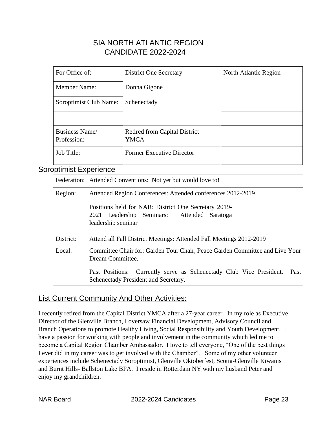### SIA NORTH ATLANTIC REGION CANDIDATE 2022-2024

| For Office of:                       | <b>District One Secretary</b>                       | North Atlantic Region |
|--------------------------------------|-----------------------------------------------------|-----------------------|
| <b>Member Name:</b>                  | Donna Gigone                                        |                       |
| Soroptimist Club Name:               | Schenectady                                         |                       |
|                                      |                                                     |                       |
| <b>Business Name/</b><br>Profession: | <b>Retired from Capital District</b><br><b>YMCA</b> |                       |
| Job Title:                           | <b>Former Executive Director</b>                    |                       |

### Soroptimist Experience

|           | Federation: Attended Conventions: Not yet but would love to!                                                                                                                    |  |  |
|-----------|---------------------------------------------------------------------------------------------------------------------------------------------------------------------------------|--|--|
| Region:   | Attended Region Conferences: Attended conferences 2012-2019                                                                                                                     |  |  |
|           | Positions held for NAR: District One Secretary 2019-<br>2021 Leadership Seminars: Attended Saratoga<br>leadership seminar                                                       |  |  |
| District: | Attend all Fall District Meetings: Attended Fall Meetings 2012-2019                                                                                                             |  |  |
| Local:    | Committee Chair for: Garden Tour Chair, Peace Garden Committee and Live Your<br>Dream Committee.<br>Past Positions: Currently serve as Schenectady Club Vice President.<br>Past |  |  |
|           | Schenectady President and Secretary.                                                                                                                                            |  |  |

### List Current Community And Other Activities:

I recently retired from the Capital District YMCA after a 27-year career. In my role as Executive Director of the Glenville Branch, I oversaw Financial Development, Advisory Council and Branch Operations to promote Healthy Living, Social Responsibility and Youth Development. I have a passion for working with people and involvement in the community which led me to become a Capital Region Chamber Ambassador. I love to tell everyone, "One of the best things I ever did in my career was to get involved with the Chamber". Some of my other volunteer experiences include Schenectady Soroptimist, Glenville Oktoberfest, Scotia-Glenville Kiwanis and Burnt Hills- Ballston Lake BPA. I reside in Rotterdam NY with my husband Peter and enjoy my grandchildren.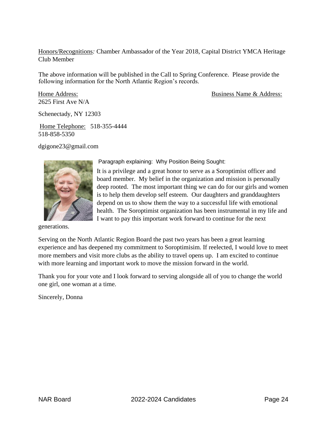Honors/Recognitions*:* Chamber Ambassador of the Year 2018, Capital District YMCA Heritage Club Member

The above information will be published in the Call to Spring Conference. Please provide the following information for the North Atlantic Region's records.

2625 First Ave N/A

Home Address: Business Name & Address:

Schenectady, NY 12303

Home Telephone: 518-355-4444 518-858-5350

dgigone23@gmail.com



generations.

Paragraph explaining: Why Position Being Sought:

It is a privilege and a great honor to serve as a Soroptimist officer and board member. My belief in the organization and mission is personally deep rooted. The most important thing we can do for our girls and women is to help them develop self esteem. Our daughters and granddaughters depend on us to show them the way to a successful life with emotional health. The Soroptimist organization has been instrumental in my life and I want to pay this important work forward to continue for the next

Serving on the North Atlantic Region Board the past two years has been a great learning experience and has deepened my commitment to Soroptimisim. If reelected, I would love to meet more members and visit more clubs as the ability to travel opens up. I am excited to continue with more learning and important work to move the mission forward in the world.

Thank you for your vote and I look forward to serving alongside all of you to change the world one girl, one woman at a time.

Sincerely, Donna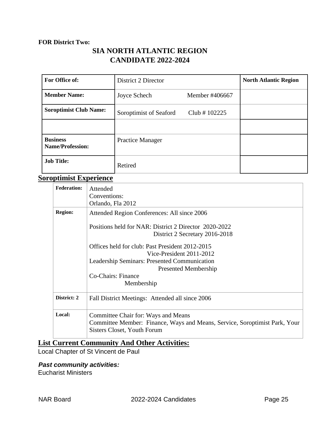#### **FOR District Two:**

### **SIA NORTH ATLANTIC REGION CANDIDATE 2022-2024**

| For Office of:                             | District 2 Director     |                 | <b>North Atlantic Region</b> |
|--------------------------------------------|-------------------------|-----------------|------------------------------|
| <b>Member Name:</b>                        | Joyce Schech            | Member #406667  |                              |
| <b>Soroptimist Club Name:</b>              | Soroptimist of Seaford  | Club # $102225$ |                              |
|                                            |                         |                 |                              |
| <b>Business</b><br><b>Name/Profession:</b> | <b>Practice Manager</b> |                 |                              |
| <b>Job Title:</b>                          | Retired                 |                 |                              |

### **Soroptimist Experience**

| <b>Federation:</b> | Attended<br>Conventions:                                                                                  |  |  |
|--------------------|-----------------------------------------------------------------------------------------------------------|--|--|
|                    | Orlando, Fla 2012                                                                                         |  |  |
| <b>Region:</b>     | Attended Region Conferences: All since 2006                                                               |  |  |
|                    | Positions held for NAR: District 2 Director 2020-2022                                                     |  |  |
|                    | District 2 Secretary 2016-2018                                                                            |  |  |
|                    | Offices held for club: Past President 2012-2015                                                           |  |  |
|                    | Vice-President 2011-2012                                                                                  |  |  |
|                    | Leadership Seminars: Presented Communication                                                              |  |  |
|                    | Presented Membership                                                                                      |  |  |
|                    | Co-Chairs: Finance                                                                                        |  |  |
|                    | Membership                                                                                                |  |  |
| District: 2        | Fall District Meetings: Attended all since 2006                                                           |  |  |
| Local:             | Committee Chair for: Ways and Means                                                                       |  |  |
|                    | Committee Member: Finance, Ways and Means, Service, Soroptimist Park, Your<br>Sisters Closet, Youth Forum |  |  |

### **List Current Community And Other Activities:**

Local Chapter of St Vincent de Paul

### *Past community activities:*

Eucharist Ministers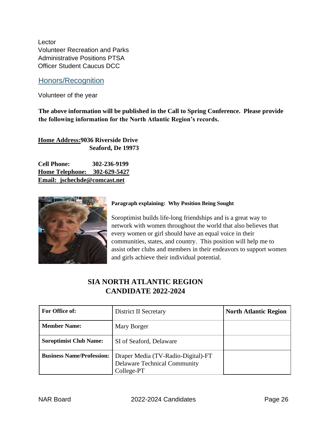Lector Volunteer Recreation and Parks Administrative Positions PTSA Officer Student Caucus DCC

### Honors/Recognition

Volunteer of the year

**The above information will be published in the Call to Spring Conference. Please provide the following information for the North Atlantic Region's records.** 

**Home Address:9036 Riverside Drive Seaford, De 19973** 

**Cell Phone: 302-236-9199 Home Telephone: 302-629-5427 Email: jschechde@comcast.net**



#### **Paragraph explaining: Why Position Being Sought**

Soroptimist builds life-long friendships and is a great way to network with women throughout the world that also believes that every women or girl should have an equal voice in their communities, states, and country. This position will help me to assist other clubs and members in their endeavors to support women and girls achieve their individual potential.

### **SIA NORTH ATLANTIC REGION CANDIDATE 2022-2024**

| For Office of:                   | District II Secretary                                                                   | <b>North Atlantic Region</b> |
|----------------------------------|-----------------------------------------------------------------------------------------|------------------------------|
| <b>Member Name:</b>              | Mary Borger                                                                             |                              |
| <b>Soroptimist Club Name:</b>    | SI of Seaford, Delaware                                                                 |                              |
| <b>Business Name/Profession:</b> | Draper Media (TV-Radio-Digital)-FT<br><b>Delaware Technical Community</b><br>College-PT |                              |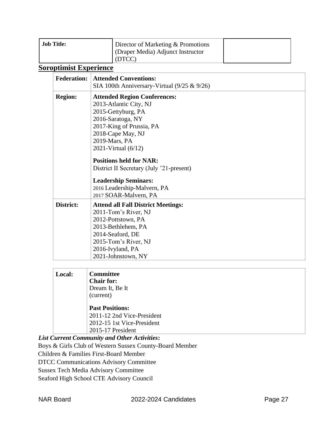| <b>Job Title:</b><br>Director of Marketing & Promotions |                                   |  |
|---------------------------------------------------------|-----------------------------------|--|
|                                                         | (Draper Media) Adjunct Instructor |  |
|                                                         | (DTCC)                            |  |

# **Soroptimist Experience**

| <b>Federation:</b> | <b>Attended Conventions:</b>                   |  |
|--------------------|------------------------------------------------|--|
|                    | SIA 100th Anniversary-Virtual $(9/25 \& 9/26)$ |  |
| <b>Region:</b>     | <b>Attended Region Conferences:</b>            |  |
|                    | 2013-Atlantic City, NJ                         |  |
|                    | 2015-Gettyburg, PA                             |  |
|                    | 2016-Saratoga, NY                              |  |
|                    | 2017-King of Prussia, PA                       |  |
|                    | 2018-Cape May, NJ                              |  |
|                    | 2019-Mars, PA                                  |  |
|                    | 2021-Virtual $(6/12)$                          |  |
|                    | <b>Positions held for NAR:</b>                 |  |
|                    | District II Secretary (July '21-present)       |  |
|                    | <b>Leadership Seminars:</b>                    |  |
|                    | 2016 Leadership-Malvern, PA                    |  |
|                    | 2017 SOAR-Malvern, PA                          |  |
| District:          | <b>Attend all Fall District Meetings:</b>      |  |
|                    | 2011-Tom's River, NJ                           |  |
|                    | 2012-Pottstown, PA                             |  |
|                    | 2013-Bethlehem, PA                             |  |
|                    | 2014-Seaford, DE                               |  |
|                    | 2015-Tom's River, NJ                           |  |
|                    | 2016-Ivyland, PA                               |  |
|                    | 2021-Johnstown, NY                             |  |

| Local: | <b>Committee</b>           |
|--------|----------------------------|
|        | <b>Chair for:</b>          |
|        | Dream It, Be It            |
|        | (current)                  |
|        | <b>Past Positions:</b>     |
|        | 2011-12 2nd Vice-President |
|        | 2012-15 1st Vice-President |
|        | 2015-17 President          |

*List Current Community and Other Activities***:**  Boys & Girls Club of Western Sussex County-Board Member Children & Families First-Board Member DTCC Communications Advisory Committee Sussex Tech Media Advisory Committee Seaford High School CTE Advisory Council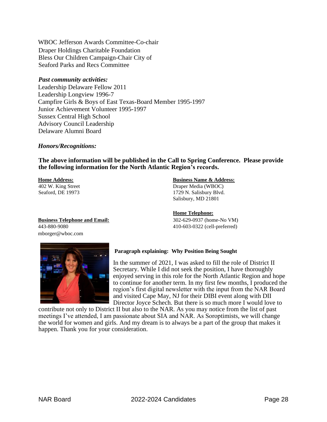WBOC Jefferson Awards Committee-Co-chair Draper Holdings Charitable Foundation Bless Our Children Campaign-Chair City of Seaford Parks and Recs Committee

#### *Past community activities:*

Leadership Delaware Fellow 2011 Leadership Longview 1996-7 Campfire Girls & Boys of East Texas-Board Member 1995-1997 Junior Achievement Volunteer 1995-1997 Sussex Central High School Advisory Council Leadership Delaware Alumni Board

#### *Honors/Recognitions:*

**The above information will be published in the Call to Spring Conference. Please provide the following information for the North Atlantic Region's records.** 

#### **Home Address: Business Name & Address:**

402 W. King Street Draper Media (WBOC) Seaford, DE 19973 1729 N. Salisbury Blvd. Salisbury, MD 21801

#### **Home Telephone:**

443-880-9080 410-603-0322 (cell-preferred)

**Business Telephone and Email:** 302-629-0937 (home-No VM) mborger@wboc.com



#### **Paragraph explaining: Why Position Being Sought**

In the summer of 2021, I was asked to fill the role of District II Secretary. While I did not seek the position, I have thoroughly enjoyed serving in this role for the North Atlantic Region and hope to continue for another term. In my first few months, I produced the region's first digital newsletter with the input from the NAR Board and visited Cape May, NJ for their DIBI event along with DII Director Joyce Schech. But there is so much more I would love to

contribute not only to District II but also to the NAR. As you may notice from the list of past meetings I've attended, I am passionate about SIA and NAR. As Soroptimists, we will change the world for women and girls. And my dream is to always be a part of the group that makes it happen. Thank you for your consideration.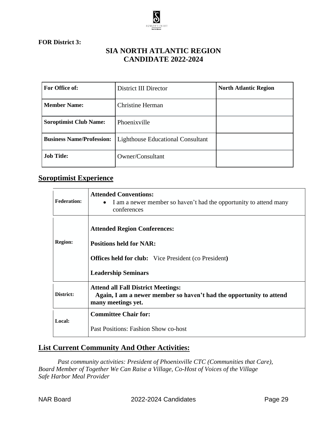

**FOR District 3:**

### **SIA NORTH ATLANTIC REGION CANDIDATE 2022-2024**

| For Office of:                   | District III Director                    | <b>North Atlantic Region</b> |
|----------------------------------|------------------------------------------|------------------------------|
| <b>Member Name:</b>              | <b>Christine Herman</b>                  |                              |
| <b>Soroptimist Club Name:</b>    | Phoenixville                             |                              |
| <b>Business Name/Profession:</b> | <b>Lighthouse Educational Consultant</b> |                              |
| <b>Job Title:</b>                | Owner/Consultant                         |                              |

### **Soroptimist Experience**

| <b>Federation:</b> | <b>Attended Conventions:</b><br>I am a newer member so haven't had the opportunity to attend many<br>$\bullet$<br>conferences                                      |
|--------------------|--------------------------------------------------------------------------------------------------------------------------------------------------------------------|
| <b>Region:</b>     | <b>Attended Region Conferences:</b><br><b>Positions held for NAR:</b><br><b>Offices held for club:</b> Vice President (co President)<br><b>Leadership Seminars</b> |
| District:          | <b>Attend all Fall District Meetings:</b><br>Again, I am a newer member so haven't had the opportunity to attend<br>many meetings yet.                             |
| Local:             | <b>Committee Chair for:</b><br>Past Positions: Fashion Show co-host                                                                                                |

### **List Current Community And Other Activities:**

*Past community activities: President of Phoenixville CTC (Communities that Care), Board Member of Together We Can Raise a Village, Co-Host of Voices of the Village Safe Harbor Meal Provider*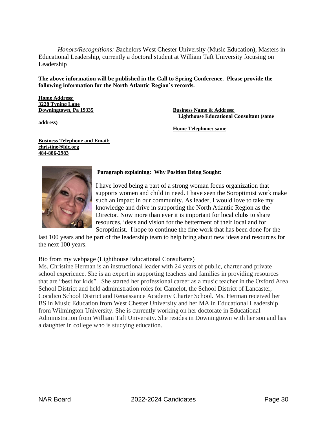*Honors/Recognitions: B*achelors West Chester University (Music Education), Masters in Educational Leadership, currently a doctoral student at William Taft University focusing on Leadership

**The above information will be published in the Call to Spring Conference. Please provide the following information for the North Atlantic Region's records.**

**Home Address: 3228 Tyning Lane**

**address)**

**Downingtown, Pa 19335 Business Name & Address: Lighthouse Educational Consultant (same**

**Home Telephone: same**

**Business Telephone and Email: [christine@ldc.org](mailto:christine@ldc.org) 484-886-2983**



#### **Paragraph explaining: Why Position Being Sought:**

I have loved being a part of a strong woman focus organization that supports women and child in need. I have seen the Soroptimist work make such an impact in our community. As leader, I would love to take my knowledge and drive in supporting the North Atlantic Region as the Director. Now more than ever it is important for local clubs to share resources, ideas and vision for the betterment of their local and for Soroptimist. I hope to continue the fine work that has been done for the

last 100 years and be part of the leadership team to help bring about new ideas and resources for the next 100 years.

#### Bio from my webpage (Lighthouse Educational Consultants)

Ms. Christine Herman is an instructional leader with 24 years of public, charter and private school experience. She is an expert in supporting teachers and families in providing resources that are "best for kids". She started her professional career as a music teacher in the Oxford Area School District and held administration roles for Camelot, the School District of Lancaster, Cocalico School District and Renaissance Academy Charter School. Ms. Herman received her BS in Music Education from West Chester University and her MA in Educational Leadership from Wilmington University. She is currently working on her doctorate in Educational Administration from William Taft University. She resides in Downingtown with her son and has a daughter in college who is studying education.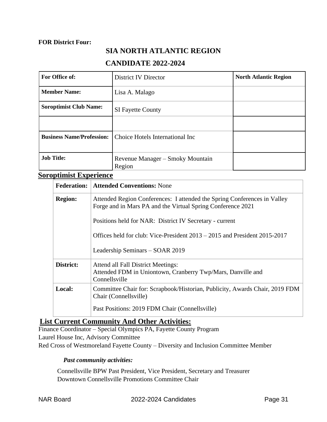#### **FOR District Four:**

### **SIA NORTH ATLANTIC REGION**

### **CANDIDATE 2022-2024**

| For Office of:                   | District IV Director                       | <b>North Atlantic Region</b> |
|----------------------------------|--------------------------------------------|------------------------------|
| <b>Member Name:</b>              | Lisa A. Malago                             |                              |
| <b>Soroptimist Club Name:</b>    | <b>SI Fayette County</b>                   |                              |
|                                  |                                            |                              |
| <b>Business Name/Profession:</b> | Choice Hotels International Inc            |                              |
| <b>Job Title:</b>                | Revenue Manager – Smoky Mountain<br>Region |                              |

### **Soroptimist Experience**

| <b>Federation:</b> | <b>Attended Conventions: None</b>                                                                                                       |
|--------------------|-----------------------------------------------------------------------------------------------------------------------------------------|
| <b>Region:</b>     | Attended Region Conferences: I attended the Spring Conferences in Valley<br>Forge and in Mars PA and the Virtual Spring Conference 2021 |
|                    | Positions held for NAR: District IV Secretary - current                                                                                 |
|                    | Offices held for club: Vice-President $2013 - 2015$ and President $2015-2017$                                                           |
|                    | Leadership Seminars – SOAR 2019                                                                                                         |
| District:          | Attend all Fall District Meetings:<br>Attended FDM in Uniontown, Cranberry Twp/Mars, Danville and<br>Connellsville                      |
| Local:             | Committee Chair for: Scrapbook/Historian, Publicity, Awards Chair, 2019 FDM<br>Chair (Connellsville)                                    |
|                    | Past Positions: 2019 FDM Chair (Connells ville)                                                                                         |

### **List Current Community And Other Activities:**

Finance Coordinator – Special Olympics PA, Fayette County Program Laurel House Inc, Advisory Committee Red Cross of Westmoreland Fayette County – Diversity and Inclusion Committee Member

#### *Past community activities:*

Connellsville BPW Past President, Vice President, Secretary and Treasurer Downtown Connellsville Promotions Committee Chair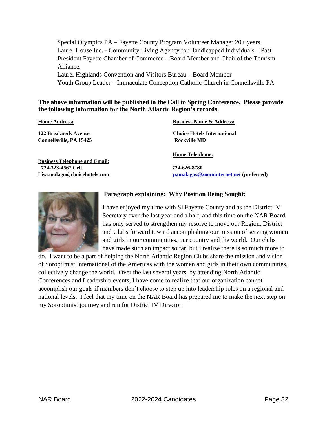Special Olympics PA – Fayette County Program Volunteer Manager 20+ years Laurel House Inc. - Community Living Agency for Handicapped Individuals – Past President Fayette Chamber of Commerce – Board Member and Chair of the Tourism Alliance. Laurel Highlands Convention and Visitors Bureau – Board Member

Youth Group Leader – Immaculate Conception Catholic Church in Connellsville PA

#### **The above information will be published in the Call to Spring Conference. Please provide the following information for the North Atlantic Region's records.**

| <b>Business Name &amp; Address:</b>    |
|----------------------------------------|
| <b>Choice Hotels International</b>     |
| Rockville MD                           |
| <b>Home Telephone:</b>                 |
|                                        |
| 724-626-8780                           |
| pamalagos@zoominternet.net (preferred) |
|                                        |



#### **Paragraph explaining: Why Position Being Sought:**

I have enjoyed my time with SI Fayette County and as the District IV Secretary over the last year and a half, and this time on the NAR Board has only served to strengthen my resolve to move our Region, District and Clubs forward toward accomplishing our mission of serving women and girls in our communities, our country and the world. Our clubs have made such an impact so far, but I realize there is so much more to

do. I want to be a part of helping the North Atlantic Region Clubs share the mission and vision of Soroptimist International of the Americas with the women and girls in their own communities, collectively change the world. Over the last several years, by attending North Atlantic Conferences and Leadership events, I have come to realize that our organization cannot accomplish our goals if members don't choose to step up into leadership roles on a regional and national levels. I feel that my time on the NAR Board has prepared me to make the next step on my Soroptimist journey and run for District IV Director.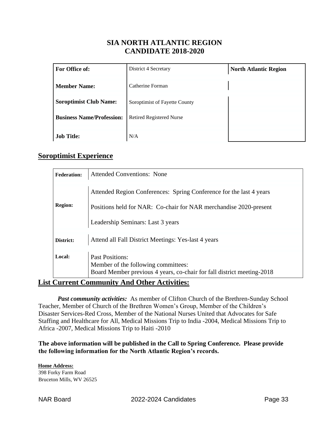### **SIA NORTH ATLANTIC REGION CANDIDATE 2018-2020**

| For Office of:                   | District 4 Secretary            | <b>North Atlantic Region</b> |
|----------------------------------|---------------------------------|------------------------------|
| <b>Member Name:</b>              | Catherine Forman                |                              |
| <b>Soroptimist Club Name:</b>    | Soroptimist of Fayette County   |                              |
| <b>Business Name/Profession:</b> | <b>Retired Registered Nurse</b> |                              |
| <b>Job Title:</b>                | N/A                             |                              |

### **Soroptimist Experience**

| <b>Federation:</b> | <b>Attended Conventions: None</b>                                                                                                                                             |
|--------------------|-------------------------------------------------------------------------------------------------------------------------------------------------------------------------------|
| <b>Region:</b>     | Attended Region Conferences: Spring Conference for the last 4 years<br>Positions held for NAR: Co-chair for NAR merchandise 2020-present<br>Leadership Seminars: Last 3 years |
| District:          | Attend all Fall District Meetings: Yes-last 4 years                                                                                                                           |
| Local:             | <b>Past Positions:</b><br>Member of the following committees:<br>Board Member previous 4 years, co-chair for fall district meeting-2018                                       |

### **List Current Community And Other Activities:**

*Past community activities:* As member of Clifton Church of the Brethren-Sunday School Teacher, Member of Church of the Brethren Women's Group, Member of the Children's Disaster Services-Red Cross, Member of the National Nurses United that Advocates for Safe Staffing and Healthcare for All, Medical Missions Trip to India -2004, Medical Missions Trip to Africa -2007, Medical Missions Trip to Haiti -2010

**The above information will be published in the Call to Spring Conference. Please provide the following information for the North Atlantic Region's records.** 

**Home Address:** 398 Forky Farm Road Bruceton Mills, WV 26525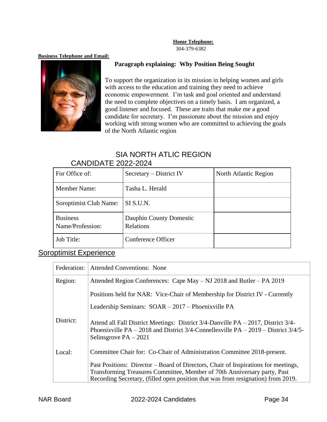### **Home Telephone:**

304-379-6382

#### **Business Telephone and Email:**



#### **Paragraph explaining: Why Position Being Sought**

To support the organization in its mission in helping women and girls with access to the education and training they need to achieve economic empowerment. I'm task and goal oriented and understand the need to complete objectives on a timely basis. I am organized, a good listener and focused. These are traits that make me a good candidate for secretary. I'm passionate about the mission and enjoy working with strong women who are committed to achieving the goals of the North Atlantic region

# SIA NORTH ATLIC REGION

# CANDIDATE 2022-2024 For Office of:  $\begin{array}{|l|} \hline \end{array}$  Secretary – District IV North Atlantic Region Member Name: Tasha L. Herald Soroptimist Club Name: SI S.U.N. **Business** Name/Profession: Dauphin County Domestic Relations Job Title: Conference Officer

### Soroptimist Experience

| Federation: | <b>Attended Conventions: None</b>                                                                                                                                                                                                                  |
|-------------|----------------------------------------------------------------------------------------------------------------------------------------------------------------------------------------------------------------------------------------------------|
| Region:     | Attended Region Conferences: Cape May – NJ 2018 and Butler – PA 2019                                                                                                                                                                               |
|             | Positions held for NAR: Vice-Chair of Membership for District IV - Currently                                                                                                                                                                       |
|             | Leadership Seminars: SOAR - 2017 - Phoenixville PA                                                                                                                                                                                                 |
| District:   | Attend all Fall District Meetings: District $3/4$ -Danville PA – 2017, District $3/4$ -<br>Phoenixville PA – 2018 and District $3/4$ -Connellesville PA – 2019 – District $3/4/5$ -<br>Selinsgrove $PA - 2021$                                     |
| Local:      | Committee Chair for: Co-Chair of Administration Committee 2018-present.                                                                                                                                                                            |
|             | Past Positions: Director – Board of Directors, Chair of Inspirations for meetings,<br>Transforming Treasures Committee, Member of 70th Anniversary party, Past<br>Recording Secretary, (filled open position that was from resignation) from 2019. |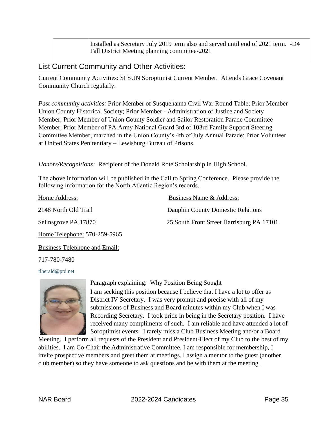Installed as Secretary July 2019 term also and served until end of 2021 term. -D4 Fall District Meeting planning committee-2021

### List Current Community and Other Activities:

Current Community Activities: SI SUN Soroptimist Current Member. Attends Grace Covenant Community Church regularly.

*Past community activities:* Prior Member of Susquehanna Civil War Round Table; Prior Member Union County Historical Society; Prior Member - Administration of Justice and Society Member; Prior Member of Union County Soldier and Sailor Restoration Parade Committee Member; Prior Member of PA Army National Guard 3rd of 103rd Family Support Steering Committee Member; marched in the Union County's 4th of July Annual Parade; Prior Volunteer at United States Penitentiary – Lewisburg Bureau of Prisons.

*Honors/Recognitions:* Recipient of the Donald Rote Scholarship in High School.

The above information will be published in the Call to Spring Conference. Please provide the following information for the North Atlantic Region's records.

| Home Address:                | Business Name & Address:                  |
|------------------------------|-------------------------------------------|
| 2148 North Old Trail         | Dauphin County Domestic Relations         |
| Selinsgrove PA 17870         | 25 South Front Street Harrisburg PA 17101 |
| Home Telephone: 570-259-5965 |                                           |

Business Telephone and Email:

717-780-7480

#### tlherald@ptd.net



Paragraph explaining: Why Position Being Sought I am seeking this position because I believe that I have a lot to offer as District IV Secretary. I was very prompt and precise with all of my submissions of Business and Board minutes within my Club when I was Recording Secretary. I took pride in being in the Secretary position. I have received many compliments of such. I am reliable and have attended a lot of Soroptimist events. I rarely miss a Club Business Meeting and/or a Board

Meeting. I perform all requests of the President and President-Elect of my Club to the best of my abilities. I am Co-Chair the Administrative Committee. I am responsible for membership, I invite prospective members and greet them at meetings. I assign a mentor to the guest (another club member) so they have someone to ask questions and be with them at the meeting.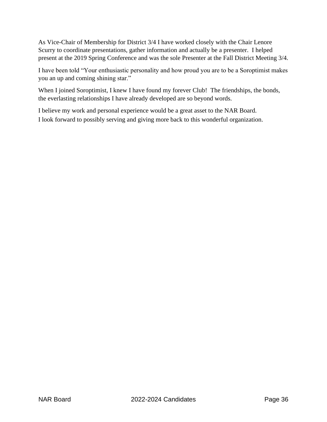As Vice-Chair of Membership for District 3/4 I have worked closely with the Chair Lenore Scurry to coordinate presentations, gather information and actually be a presenter. I helped present at the 2019 Spring Conference and was the sole Presenter at the Fall District Meeting 3/4.

I have been told "Your enthusiastic personality and how proud you are to be a Soroptimist makes you an up and coming shining star."

When I joined Soroptimist, I knew I have found my forever Club! The friendships, the bonds, the everlasting relationships I have already developed are so beyond words.

I believe my work and personal experience would be a great asset to the NAR Board. I look forward to possibly serving and giving more back to this wonderful organization.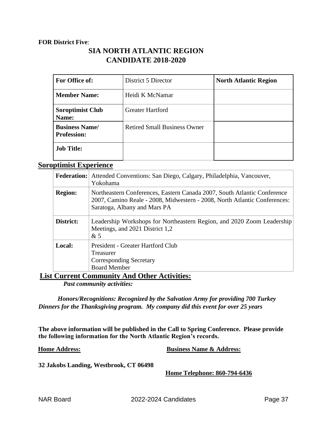#### **FOR District Five**:

### **SIA NORTH ATLANTIC REGION CANDIDATE 2018-2020**

| For Office of:                              | District 5 Director                 | <b>North Atlantic Region</b> |
|---------------------------------------------|-------------------------------------|------------------------------|
| <b>Member Name:</b>                         | Heidi K McNamar                     |                              |
| <b>Soroptimist Club</b><br>Name:            | <b>Greater Hartford</b>             |                              |
| <b>Business Name/</b><br><b>Profession:</b> | <b>Retired Small Business Owner</b> |                              |
| <b>Job Title:</b>                           |                                     |                              |

### **Soroptimist Experience**

| <b>Federation:</b> | Attended Conventions: San Diego, Calgary, Philadelphia, Vancouver,<br>Yokohama                                                                                                        |
|--------------------|---------------------------------------------------------------------------------------------------------------------------------------------------------------------------------------|
| <b>Region:</b>     | Northeastern Conferences, Eastern Canada 2007, South Atlantic Conference<br>2007, Camino Reale - 2008, Midwestern - 2008, North Atlantic Conferences:<br>Saratoga, Albany and Mars PA |
| District:          | Leadership Workshops for Northeastern Region, and 2020 Zoom Leadership<br>Meetings, and 2021 District 1,2<br>&5                                                                       |
| Local:             | President - Greater Hartford Club<br><b>Treasurer</b><br><b>Corresponding Secretary</b><br><b>Board Member</b>                                                                        |

**List Current Community And Other Activities:**

*Past community activities:*

*Honors/Recognitions: Recognized by the Salvation Army for providing 700 Turkey Dinners for the Thanksgiving program. My company did this event for over 25 years*

**The above information will be published in the Call to Spring Conference. Please provide the following information for the North Atlantic Region's records.** 

**Home Address: Business Name & Address:**

**32 Jakobs Landing, Westbrook, CT 06498** 

**Home Telephone: 860-794-6436**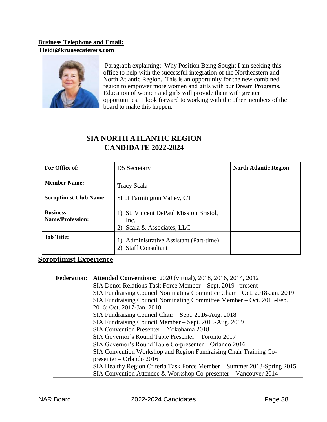### **Business Telephone and Email: Heidi@kruasecaterers.com**



Paragraph explaining: Why Position Being Sought I am seeking this office to help with the successful integration of the Northeastern and North Atlantic Region. This is an opportunity for the new combined region to empower more women and girls with our Dream Programs. Education of women and girls will provide them with greater opportunities. I look forward to working with the other members of the board to make this happen.

# **SIA NORTH ATLANTIC REGION CANDIDATE 2022-2024**

| For Office of:                             | D5 Secretary                                                                 | <b>North Atlantic Region</b> |
|--------------------------------------------|------------------------------------------------------------------------------|------------------------------|
| <b>Member Name:</b>                        | <b>Tracy Scala</b>                                                           |                              |
| <b>Soroptimist Club Name:</b>              | SI of Farmington Valley, CT                                                  |                              |
| <b>Business</b><br><b>Name/Profession:</b> | 1) St. Vincent DePaul Mission Bristol,<br>Inc.<br>2) Scala & Associates, LLC |                              |
| <b>Job Title:</b>                          | Administrative Assistant (Part-time)<br>1)<br><b>Staff Consultant</b>        |                              |

### **Soroptimist Experience**

| <b>Federation:</b> | <b>Attended Conventions: 2020</b> (virtual), 2018, 2016, 2014, 2012      |
|--------------------|--------------------------------------------------------------------------|
|                    | SIA Donor Relations Task Force Member - Sept. 2019 - present             |
|                    | SIA Fundraising Council Nominating Committee Chair – Oct. 2018-Jan. 2019 |
|                    | SIA Fundraising Council Nominating Committee Member – Oct. 2015-Feb.     |
|                    | 2016; Oct. 2017-Jan. 2018                                                |
|                    | SIA Fundraising Council Chair - Sept. 2016-Aug. 2018                     |
|                    | SIA Fundraising Council Member - Sept. 2015-Aug. 2019                    |
|                    | SIA Convention Presenter - Yokohama 2018                                 |
|                    | SIA Governor's Round Table Presenter – Toronto 2017                      |
|                    | SIA Governor's Round Table Co-presenter – Orlando 2016                   |
|                    | SIA Convention Workshop and Region Fundraising Chair Training Co-        |
|                    | presenter – Orlando 2016                                                 |
|                    | SIA Healthy Region Criteria Task Force Member – Summer 2013-Spring 2015  |
|                    | SIA Convention Attendee & Workshop Co-presenter – Vancouver 2014         |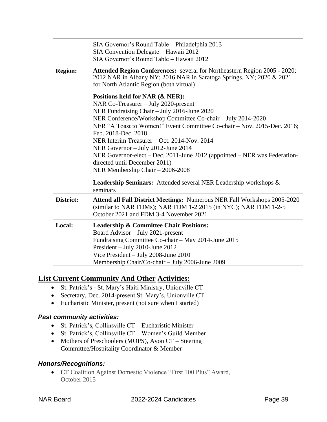|                | SIA Governor's Round Table - Philadelphia 2013<br>SIA Convention Delegate - Hawaii 2012<br>SIA Governor's Round Table - Hawaii 2012                                                                                                                                                                                                                                                                                                                                                                                            |
|----------------|--------------------------------------------------------------------------------------------------------------------------------------------------------------------------------------------------------------------------------------------------------------------------------------------------------------------------------------------------------------------------------------------------------------------------------------------------------------------------------------------------------------------------------|
| <b>Region:</b> | <b>Attended Region Conferences:</b> several for Northeastern Region 2005 - 2020;<br>2012 NAR in Albany NY; 2016 NAR in Saratoga Springs, NY; 2020 & 2021<br>for North Atlantic Region (both virtual)                                                                                                                                                                                                                                                                                                                           |
|                | Positions held for NAR (& NER):<br>NAR Co-Treasurer – July 2020-present<br>NER Fundraising Chair - July 2016-June 2020<br>NER Conference/Workshop Committee Co-chair - July 2014-2020<br>NER "A Toast to Women!" Event Committee Co-chair – Nov. 2015-Dec. 2016;<br>Feb. 2018-Dec. 2018<br>NER Interim Treasurer – Oct. 2014-Nov. 2014<br>NER Governor - July 2012-June 2014<br>NER Governor-elect – Dec. 2011-June 2012 (appointed – NER was Federation-<br>directed until December 2011)<br>NER Membership Chair - 2006-2008 |
|                | <b>Leadership Seminars:</b> Attended several NER Leadership workshops &<br>seminars                                                                                                                                                                                                                                                                                                                                                                                                                                            |
| District:      | <b>Attend all Fall District Meetings: Numerous NER Fall Workshops 2005-2020</b><br>(similar to NAR FDMs); NAR FDM 1-2 2015 (in NYC); NAR FDM 1-2-5<br>October 2021 and FDM 3-4 November 2021                                                                                                                                                                                                                                                                                                                                   |
| Local:         | <b>Leadership &amp; Committee Chair Positions:</b><br>Board Advisor - July 2021-present<br>Fundraising Committee Co-chair – May 2014-June 2015<br>President - July 2010-June 2012<br>Vice President - July 2008-June 2010<br>Membership Chair/Co-chair - July 2006-June 2009                                                                                                                                                                                                                                                   |

### **List Current Community And Other Activities:**

- St. Patrick's St. Mary's Haiti Ministry, Unionville CT
- Secretary, Dec. 2014-present St. Mary's, Unionville CT
- Eucharistic Minister, present (not sure when I started)

#### *Past community activities:*

- St. Patrick's, Collinsville CT Eucharistic Minister
- St. Patrick's, Collinsville CT Women's Guild Member
- Mothers of Preschoolers (MOPS), Avon CT Steering Committee/Hospitality Coordinator & Member

#### *Honors/Recognitions:*

• CT Coalition Against Domestic Violence "First 100 Plus" Award, October 2015